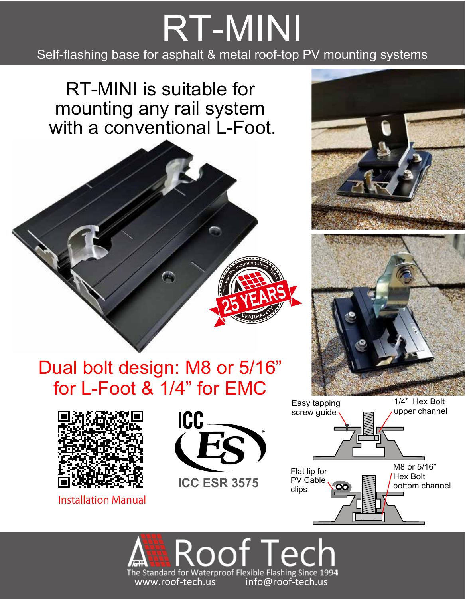## RT-MINI Self-flashing base for asphalt & metal roof-top PV mounting systems

RT-MINI is suitable for mounting any rail system with a conventional L-Foot.





Installation Manual









M8 or 5/16" Hex Bolt bottom channel